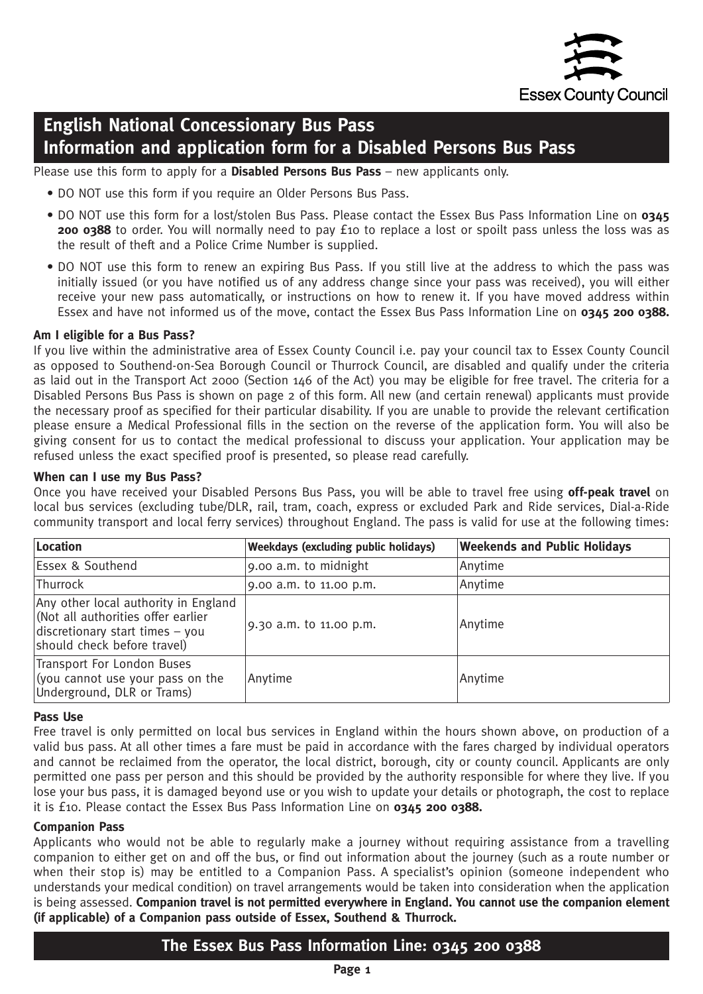

# **English National Concessionary Bus Pass Information and application form for a Disabled Persons Bus Pass**

Please use this form to apply for a **Disabled Persons Bus Pass** – new applicants only.

- DO NOT use this form if you require an Older Persons Bus Pass.
- DO NOT use this form for a lost/stolen Bus Pass. Please contact the Essex Bus Pass Information Line on **0345 200 0388** to order. You will normally need to pay £10 to replace a lost or spoilt pass unless the loss was as the result of theft and a Police Crime Number is supplied.
- DO NOT use this form to renew an expiring Bus Pass. If you still live at the address to which the pass was initially issued (or you have notified us of any address change since your pass was received), you will either receive your new pass automatically, or instructions on how to renew it. If you have moved address within Essex and have not informed us of the move, contact the Essex Bus Pass Information Line on **0345 200 0388.**

#### **Am I eligible for a Bus Pass?**

If you live within the administrative area of Essex County Council i.e. pay your council tax to Essex County Council as opposed to Southend-on-Sea Borough Council or Thurrock Council, are disabled and qualify under the criteria as laid out in the Transport Act 2000 (Section 146 of the Act) you may be eligible for free travel. The criteria for a Disabled Persons Bus Pass is shown on page 2 of this form. All new (and certain renewal) applicants must provide the necessary proof as specified for their particular disability. If you are unable to provide the relevant certification please ensure a Medical Professional fills in the section on the reverse of the application form. You will also be giving consent for us to contact the medical professional to discuss your application. Your application may be refused unless the exact specified proof is presented, so please read carefully.

#### **When can I use my Bus Pass?**

Once you have received your Disabled Persons Bus Pass, you will be able to travel free using **off-peak travel** on local bus services (excluding tube/DLR, rail, tram, coach, express or excluded Park and Ride services, Dial-a-Ride community transport and local ferry services) throughout England. The pass is valid for use at the following times:

| Location                                                                                                                                     | <b>Weekdays (excluding public holidays)</b> | <b>Weekends and Public Holidays</b> |
|----------------------------------------------------------------------------------------------------------------------------------------------|---------------------------------------------|-------------------------------------|
| Essex & Southend                                                                                                                             | 9.00 a.m. to midnight                       | Anytime                             |
| Thurrock                                                                                                                                     | 9.00 a.m. to 11.00 p.m.                     | Anytime                             |
| Any other local authority in England<br>(Not all authorities offer earlier<br>discretionary start times - you<br>should check before travel) | 9.30 a.m. to 11.00 p.m.                     | Anytime                             |
| Transport For London Buses<br>(you cannot use your pass on the<br>Underground, DLR or Trams)                                                 | Anytime                                     | Anytime                             |

#### **Pass Use**

Free travel is only permitted on local bus services in England within the hours shown above, on production of a valid bus pass. At all other times a fare must be paid in accordance with the fares charged by individual operators and cannot be reclaimed from the operator, the local district, borough, city or county council. Applicants are only permitted one pass per person and this should be provided by the authority responsible for where they live. If you lose your bus pass, it is damaged beyond use or you wish to update your details or photograph, the cost to replace it is £10. Please contact the Essex Bus Pass Information Line on **0345 200 0388.**

#### **Companion Pass**

Applicants who would not be able to regularly make a journey without requiring assistance from a travelling companion to either get on and off the bus, or find out information about the journey (such as a route number or when their stop is) may be entitled to a Companion Pass. A specialist's opinion (someone independent who understands your medical condition) on travel arrangements would be taken into consideration when the application is being assessed. **Companion travel is not permitted everywhere in England. You cannot use the companion element (if applicable) of a Companion pass outside of Essex, Southend & Thurrock.**

### **The Essex Bus Pass Information Line: 0345 200 0388**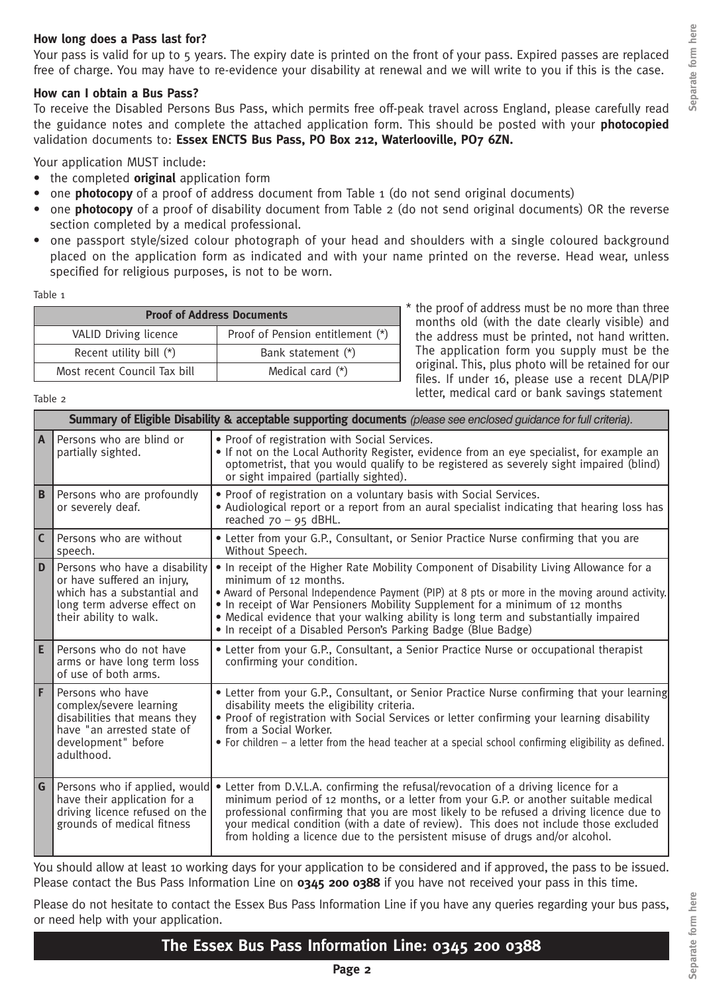#### **How long does a Pass last for?**

Your pass is valid for up to 5 years. The expiry date is printed on the front of your pass. Expired passes are replaced free of charge. You may have to re-evidence your disability at renewal and we will write to you if this is the case.

#### **How can I obtain a Bus Pass?**

To receive the Disabled Persons Bus Pass, which permits free off-peak travel across England, please carefully read the guidance notes and complete the attached application form. This should be posted with your **photocopied** validation documents to: **Essex ENCTS Bus Pass, PO Box 212, Waterlooville, PO7 6ZN.**

Your application MUST include:

- the completed **original** application form
- one **photocopy** of a proof of address document from Table 1 (do not send original documents)
- one **photocopy** of a proof of disability document from Table 2 (do not send original documents) OR the reverse section completed by a medical professional.
- one passport style/sized colour photograph of your head and shoulders with a single coloured background placed on the application form as indicated and with your name printed on the reverse. Head wear, unless specified for religious purposes, is not to be worn.

Table 1

| <b>Proof of Address Documents</b> |                                  |  |
|-----------------------------------|----------------------------------|--|
| VALID Driving licence             | Proof of Pension entitlement (*) |  |
| Recent utility bill $(*)$         | Bank statement (*)               |  |
| Most recent Council Tax bill      | Medical card $(*)$               |  |

\* the proof of address must be no more than three months old (with the date clearly visible) and the address must be printed, not hand written. The application form you supply must be the original. This, plus photo will be retained for our files. If under 16, please use a recent DLA/PIP letter, medical card or bank savings statement

Table 2

|                         | Summary of Eligible Disability & acceptable supporting documents (please see enclosed guidance for full criteria).                                   |                                                                                                                                                                                                                                                                                                                                                                                                                                                               |  |  |
|-------------------------|------------------------------------------------------------------------------------------------------------------------------------------------------|---------------------------------------------------------------------------------------------------------------------------------------------------------------------------------------------------------------------------------------------------------------------------------------------------------------------------------------------------------------------------------------------------------------------------------------------------------------|--|--|
| A                       | Persons who are blind or<br>partially sighted.                                                                                                       | . Proof of registration with Social Services.<br>. If not on the Local Authority Register, evidence from an eye specialist, for example an<br>optometrist, that you would qualify to be registered as severely sight impaired (blind)<br>or sight impaired (partially sighted).                                                                                                                                                                               |  |  |
| B                       | Persons who are profoundly<br>or severely deaf.                                                                                                      | . Proof of registration on a voluntary basis with Social Services.<br>• Audiological report or a report from an aural specialist indicating that hearing loss has<br>reached $70 - 95$ dBHL.                                                                                                                                                                                                                                                                  |  |  |
| $\overline{\mathsf{c}}$ | Persons who are without<br>speech.                                                                                                                   | . Letter from your G.P., Consultant, or Senior Practice Nurse confirming that you are<br>Without Speech.                                                                                                                                                                                                                                                                                                                                                      |  |  |
| l D                     | Persons who have a disability<br>or have suffered an injury,<br>which has a substantial and<br>long term adverse effect on<br>their ability to walk. | • In receipt of the Higher Rate Mobility Component of Disability Living Allowance for a<br>minimum of 12 months.<br>. Award of Personal Independence Payment (PIP) at 8 pts or more in the moving around activity.<br>. In receipt of War Pensioners Mobility Supplement for a minimum of 12 months<br>• Medical evidence that your walking ability is long term and substantially impaired<br>• In receipt of a Disabled Person's Parking Badge (Blue Badge) |  |  |
| E                       | Persons who do not have<br>arms or have long term loss<br>of use of both arms.                                                                       | • Letter from your G.P., Consultant, a Senior Practice Nurse or occupational therapist<br>confirming your condition.                                                                                                                                                                                                                                                                                                                                          |  |  |
| F                       | Persons who have<br>complex/severe learning<br>disabilities that means they<br>have "an arrested state of<br>development" before<br>adulthood.       | • Letter from your G.P., Consultant, or Senior Practice Nurse confirming that your learning<br>disability meets the eligibility criteria.<br>. Proof of registration with Social Services or letter confirming your learning disability<br>from a Social Worker.<br>• For children - a letter from the head teacher at a special school confirming eligibility as defined.                                                                                    |  |  |
| l G                     | Persons who if applied, would<br>have their application for a<br>driving licence refused on the<br>grounds of medical fitness                        | • Letter from D.V.L.A. confirming the refusal/revocation of a driving licence for a<br>minimum period of 12 months, or a letter from your G.P. or another suitable medical<br>professional confirming that you are most likely to be refused a driving licence due to<br>your medical condition (with a date of review). This does not include those excluded<br>from holding a licence due to the persistent misuse of drugs and/or alcohol.                 |  |  |

You should allow at least 10 working days for your application to be considered and if approved, the pass to be issued. Please contact the Bus Pass Information Line on **0345 200 0388** if you have not received your pass in this time.

Please do not hesitate to contact the Essex Bus Pass Information Line if you have any queries regarding your bus pass, or need help with your application.

### **The Essex Bus Pass Information Line: 0345 200 0388**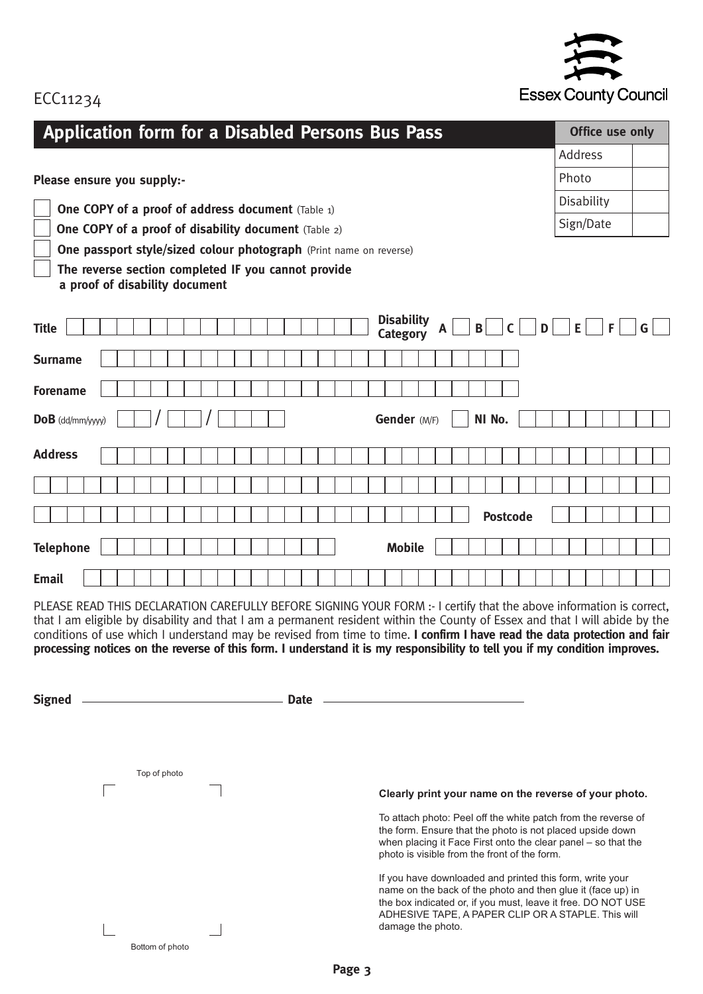

## ECC11234

| <b>Application form for a Disabled Persons Bus Pass</b>                                                                                                     | Office use only |   |  |  |  |  |  |
|-------------------------------------------------------------------------------------------------------------------------------------------------------------|-----------------|---|--|--|--|--|--|
|                                                                                                                                                             | <b>Address</b>  |   |  |  |  |  |  |
| Please ensure you supply:-                                                                                                                                  | Photo           |   |  |  |  |  |  |
| <b>One COPY of a proof of address document</b> (Table 1)                                                                                                    | Disability      |   |  |  |  |  |  |
| One COPY of a proof of disability document (Table 2)                                                                                                        | Sign/Date       |   |  |  |  |  |  |
| One passport style/sized colour photograph (Print name on reverse)<br>The reverse section completed IF you cannot provide<br>a proof of disability document |                 |   |  |  |  |  |  |
| <b>Disability</b><br><b>Title</b><br>$\mathbf B$<br>$\mathsf{C}$<br>D<br><b>Category</b>                                                                    | E.<br>F         | G |  |  |  |  |  |
| <b>Surname</b>                                                                                                                                              |                 |   |  |  |  |  |  |
| <b>Forename</b>                                                                                                                                             |                 |   |  |  |  |  |  |
| Gender (M/F)<br>NI No.<br>$DoB$ (dd/mm/yyyy)                                                                                                                |                 |   |  |  |  |  |  |
| <b>Address</b>                                                                                                                                              |                 |   |  |  |  |  |  |
|                                                                                                                                                             |                 |   |  |  |  |  |  |
| <b>Postcode</b>                                                                                                                                             |                 |   |  |  |  |  |  |
| <b>Telephone</b><br><b>Mobile</b>                                                                                                                           |                 |   |  |  |  |  |  |
| <b>Email</b>                                                                                                                                                |                 |   |  |  |  |  |  |

PLEASE READ THIS DECLARATION CAREFULLY BEFORE SIGNING YOUR FORM :- I certify that the above information is correct, that I am eligible by disability and that I am a permanent resident within the County of Essex and that I will abide by the conditions of use which I understand may be revised from time to time. **I confirm I have read the data protection and fair** processing notices on the reverse of this form. I understand it is my responsibility to tell you if my condition improves.

| <b>Signed</b> |                 | <b>Date</b>                                                                                                                                                                                                                                                        |
|---------------|-----------------|--------------------------------------------------------------------------------------------------------------------------------------------------------------------------------------------------------------------------------------------------------------------|
|               |                 |                                                                                                                                                                                                                                                                    |
|               |                 |                                                                                                                                                                                                                                                                    |
|               | Top of photo    |                                                                                                                                                                                                                                                                    |
|               |                 | Clearly print your name on the reverse of your photo.                                                                                                                                                                                                              |
|               |                 | To attach photo: Peel off the white patch from the reverse of<br>the form. Ensure that the photo is not placed upside down<br>when placing it Face First onto the clear panel – so that the<br>photo is visible from the front of the form.                        |
|               |                 | If you have downloaded and printed this form, write your<br>name on the back of the photo and then glue it (face up) in<br>the box indicated or, if you must, leave it free. DO NOT USE<br>ADHESIVE TAPE, A PAPER CLIP OR A STAPLE. This will<br>damage the photo. |
|               | Bottom of photo |                                                                                                                                                                                                                                                                    |